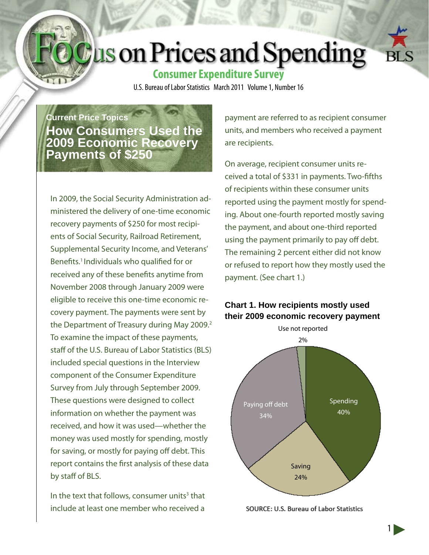# **Lus on Prices and Spending**



U.S. Bureau of Labor Statistics March 2011 Volume 1, Number 16

**Current Price Topics How Consumers Used the 2009 Economic Recovery Payments of \$250**

In 2009, the Social Security Administration administered the delivery of one-time economic recovery payments of \$250 for most recipients of Social Security, Railroad Retirement, Supplemental Security Income, and Veterans' Benefits.<sup>1</sup> Individuals who qualified for or received any of these benefits anytime from November 2008 through January 2009 were eligible to receive this one-time economic recovery payment. The payments were sent by the Department of Treasury during May 2009.<sup>2</sup> To examine the impact of these payments, staff of the U.S. Bureau of Labor Statistics (BLS) included special questions in the Interview component of the Consumer Expenditure Survey from July through September 2009. These questions were designed to collect information on whether the payment was received, and how it was used—whether the money was used mostly for spending, mostly for saving, or mostly for paying off debt. This report contains the first analysis of these data by staff of BLS.

In the text that follows, consumer units<sup>3</sup> that include at least one member who received a

payment are referred to as recipient consumer units, and members who received a payment are recipients.

On average, recipient consumer units received a total of \$331 in payments. Two-fifths of recipients within these consumer units reported using the payment mostly for spending. About one-fourth reported mostly saving the payment, and about one-third reported using the payment primarily to pay off debt. The remaining 2 percent either did not know or refused to report how they mostly used the payment. (See chart 1.)

## **Chart 1. How recipients mostly used their 2009 economic recovery payment**



SOURCE: U.S. Bureau of Labor Statistics

1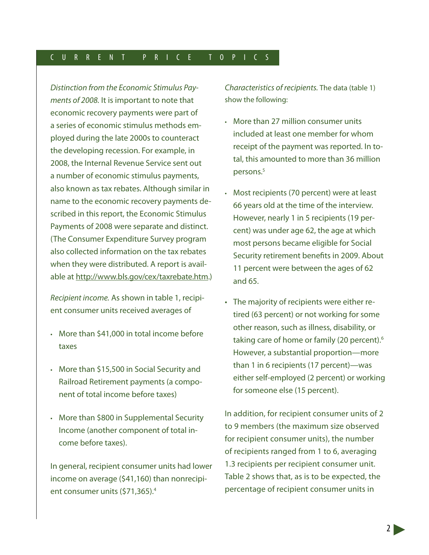### C U R R E N T P R I C E T O P I C S

*Distinction from the Economic Stimulus Payments of 2008.* It is important to note that economic recovery payments were part of a series of economic stimulus methods employed during the late 2000s to counteract the developing recession. For example, in 2008, the Internal Revenue Service sent out a number of economic stimulus payments, also known as tax rebates. Although similar in name to the economic recovery payments described in this report, the Economic Stimulus Payments of 2008 were separate and distinct. (The Consumer Expenditure Survey program also collected information on the tax rebates when they were distributed. A report is available at http://www.bls.gov/cex/taxrebate.htm.)

*Recipient income.* As shown in table 1, recipient consumer units received averages of

- More than \$41,000 in total income before taxes
- More than \$15,500 in Social Security and Railroad Retirement payments (a component of total income before taxes)
- • More than \$800 in Supplemental Security Income (another component of total income before taxes).

In general, recipient consumer units had lower income on average (\$41,160) than nonrecipient consumer units (\$71,365).4

*Characteristics of recipients.* The data (table 1) show the following:

- • More than 27 million consumer units included at least one member for whom receipt of the payment was reported. In total, this amounted to more than 36 million persons.<sup>5</sup>
- Most recipients (70 percent) were at least 66 years old at the time of the interview. However, nearly 1 in 5 recipients (19 percent) was under age 62, the age at which most persons became eligible for Social Security retirement benefits in 2009. About 11 percent were between the ages of 62 and 65.
- The majority of recipients were either retired (63 percent) or not working for some other reason, such as illness, disability, or taking care of home or family (20 percent).<sup>6</sup> However, a substantial proportion—more than 1 in 6 recipients (17 percent)—was either self-employed (2 percent) or working for someone else (15 percent).

In addition, for recipient consumer units of 2 to 9 members (the maximum size observed for recipient consumer units), the number of recipients ranged from 1 to 6, averaging 1.3 recipients per recipient consumer unit. Table 2 shows that, as is to be expected, the percentage of recipient consumer units in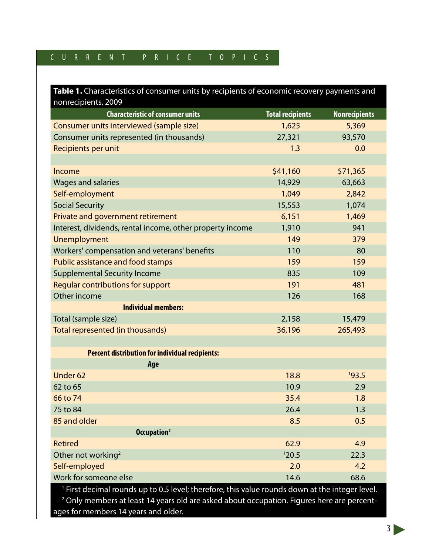## C U R R E N T P R I C E T O P I C S

| Table 1. Characteristics of consumer units by recipients of economic recovery payments and |                         |                      |  |  |  |
|--------------------------------------------------------------------------------------------|-------------------------|----------------------|--|--|--|
| nonrecipients, 2009                                                                        |                         |                      |  |  |  |
| <b>Characteristic of consumer units</b>                                                    | <b>Total recipients</b> | <b>Nonrecipients</b> |  |  |  |
| Consumer units interviewed (sample size)                                                   | 1,625                   | 5,369                |  |  |  |
| Consumer units represented (in thousands)                                                  | 27,321                  | 93,570               |  |  |  |
| Recipients per unit                                                                        | 1.3                     | 0.0                  |  |  |  |
|                                                                                            |                         |                      |  |  |  |
| Income                                                                                     | \$41,160                | \$71,365             |  |  |  |
| <b>Wages and salaries</b>                                                                  | 14,929                  | 63,663               |  |  |  |
| Self-employment                                                                            | 1,049                   | 2,842                |  |  |  |
| <b>Social Security</b>                                                                     | 15,553                  | 1,074                |  |  |  |
| Private and government retirement                                                          | 6,151                   | 1,469                |  |  |  |
| Interest, dividends, rental income, other property income                                  | 1,910                   | 941                  |  |  |  |
| Unemployment                                                                               | 149                     | 379                  |  |  |  |
| Workers' compensation and veterans' benefits                                               | 110                     | 80                   |  |  |  |
| <b>Public assistance and food stamps</b>                                                   | 159                     | 159                  |  |  |  |
| <b>Supplemental Security Income</b>                                                        | 835                     | 109                  |  |  |  |
| <b>Regular contributions for support</b>                                                   | 191                     | 481                  |  |  |  |
| Other income                                                                               | 126                     | 168                  |  |  |  |
| <b>Individual members:</b>                                                                 |                         |                      |  |  |  |
| Total (sample size)                                                                        | 2,158                   | 15,479               |  |  |  |
| Total represented (in thousands)                                                           | 36,196                  | 265,493              |  |  |  |
|                                                                                            |                         |                      |  |  |  |
| <b>Percent distribution for individual recipients:</b>                                     |                         |                      |  |  |  |
| Age                                                                                        |                         |                      |  |  |  |
| Under 62                                                                                   | 18.8                    | 193.5                |  |  |  |
| 62 to 65                                                                                   | 10.9                    | 2.9                  |  |  |  |
| 66 to 74                                                                                   | 35.4                    | 1.8                  |  |  |  |
| 75 to 84                                                                                   | 26.4                    | 1.3                  |  |  |  |
| 85 and older                                                                               | 8.5                     | 0.5                  |  |  |  |
| Occupation <sup>2</sup>                                                                    |                         |                      |  |  |  |
| <b>Retired</b>                                                                             | 62.9                    | 4.9                  |  |  |  |
| Other not working <sup>2</sup>                                                             | 120.5                   | 22.3                 |  |  |  |
| Self-employed                                                                              | 2.0                     | 4.2                  |  |  |  |
| Work for someone else                                                                      | 14.6                    | 68.6                 |  |  |  |

<sup>1</sup> First decimal rounds up to 0.5 level; therefore, this value rounds down at the integer level.

2 Only members at least 14 years old are asked about occupation. Figures here are percentages for members 14 years and older.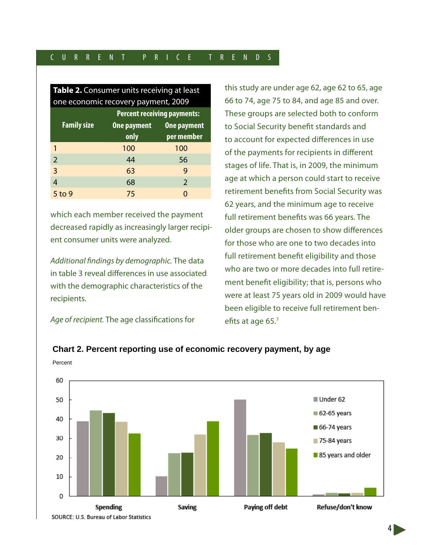| Table 2. Consumer units receiving at least |                                    |                    |  |  |  |  |
|--------------------------------------------|------------------------------------|--------------------|--|--|--|--|
| one economic recovery payment, 2009        |                                    |                    |  |  |  |  |
|                                            | <b>Percent receiving payments:</b> |                    |  |  |  |  |
| <b>Family size</b>                         | <b>One payment</b>                 | <b>One payment</b> |  |  |  |  |
|                                            | only                               | per member         |  |  |  |  |
| 1                                          | 100                                | 100                |  |  |  |  |
| $\overline{2}$                             | 44                                 | 56                 |  |  |  |  |
| 3                                          | 63                                 | 9                  |  |  |  |  |
| $\overline{4}$                             | 68                                 | 2                  |  |  |  |  |
| 5 to 9                                     | 75                                 |                    |  |  |  |  |

which each member received the payment decreased rapidly as increasingly larger recipient consumer units were analyzed.

*Additional findings by demographic.* The data in table 3 reveal differences in use associated with the demographic characteristics of the recipients.

*Age of recipient.* The age classifications for

Percent

this study are under age 62, age 62 to 65, age 66 to 74, age 75 to 84, and age 85 and over. These groups are selected both to conform to Social Security benefit standards and to account for expected differences in use of the payments for recipients in different stages of life. That is, in 2009, the minimum age at which a person could start to receive retirement benefits from Social Security was 62 years, and the minimum age to receive full retirement benefits was 66 years. The older groups are chosen to show differences for those who are one to two decades into full retirement benefit eligibility and those who are two or more decades into full retirement benefit eligibility; that is, persons who were at least 75 years old in 2009 would have been eligible to receive full retirement benefits at age 65.7



## **Chart 2. Percent reporting use of economic recovery payment, by age**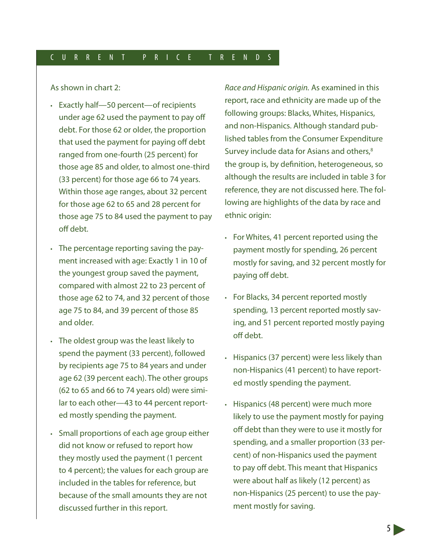As shown in chart 2:

- • Exactly half—50 percent—of recipients under age 62 used the payment to pay off debt. For those 62 or older, the proportion that used the payment for paying off debt ranged from one-fourth (25 percent) for those age 85 and older, to almost one-third (33 percent) for those age 66 to 74 years. Within those age ranges, about 32 percent for those age 62 to 65 and 28 percent for those age 75 to 84 used the payment to pay off debt.
- The percentage reporting saving the payment increased with age: Exactly 1 in 10 of the youngest group saved the payment, compared with almost 22 to 23 percent of those age 62 to 74, and 32 percent of those age 75 to 84, and 39 percent of those 85 and older.
- • The oldest group was the least likely to spend the payment (33 percent), followed by recipients age 75 to 84 years and under age 62 (39 percent each). The other groups (62 to 65 and 66 to 74 years old) were similar to each other—43 to 44 percent reported mostly spending the payment.
- Small proportions of each age group either did not know or refused to report how they mostly used the payment (1 percent to 4 percent); the values for each group are included in the tables for reference, but because of the small amounts they are not discussed further in this report.

*Race and Hispanic origin.* As examined in this report, race and ethnicity are made up of the following groups: Blacks, Whites, Hispanics, and non-Hispanics. Although standard published tables from the Consumer Expenditure Survey include data for Asians and others,<sup>8</sup> the group is, by definition, heterogeneous, so although the results are included in table 3 for reference, they are not discussed here. The following are highlights of the data by race and ethnic origin:

- • For Whites, 41 percent reported using the payment mostly for spending, 26 percent mostly for saving, and 32 percent mostly for paying off debt.
- • For Blacks, 34 percent reported mostly spending, 13 percent reported mostly saving, and 51 percent reported mostly paying off debt.
- • Hispanics (37 percent) were less likely than non-Hispanics (41 percent) to have reported mostly spending the payment.
- • Hispanics (48 percent) were much more likely to use the payment mostly for paying off debt than they were to use it mostly for spending, and a smaller proportion (33 percent) of non-Hispanics used the payment to pay off debt. This meant that Hispanics were about half as likely (12 percent) as non-Hispanics (25 percent) to use the payment mostly for saving.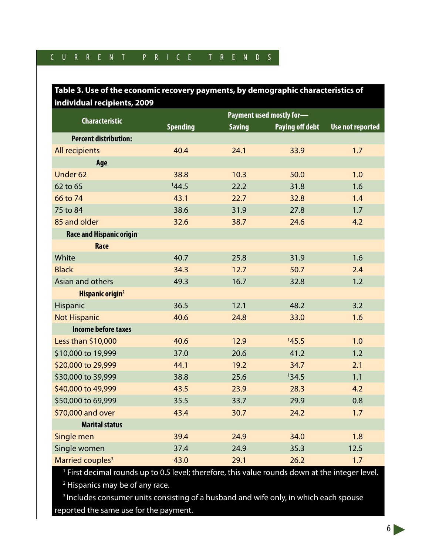## **Table 3. Use of the economic recovery payments, by demographic characteristics of individual recipients, 2009**

|                                 | Payment used mostly for- |               |                        |                         |
|---------------------------------|--------------------------|---------------|------------------------|-------------------------|
| <b>Characteristic</b>           | <b>Spending</b>          | <b>Saving</b> | <b>Paying off debt</b> | <b>Use not reported</b> |
| <b>Percent distribution:</b>    |                          |               |                        |                         |
| All recipients                  | 40.4                     | 24.1          | 33.9                   | 1.7                     |
| Age                             |                          |               |                        |                         |
| Under <sub>62</sub>             | 38.8                     | 10.3          | 50.0                   | 1.0                     |
| 62 to 65                        | 144.5                    | 22.2          | 31.8                   | 1.6                     |
| 66 to 74                        | 43.1                     | 22.7          | 32.8                   | 1.4                     |
| 75 to 84                        | 38.6                     | 31.9          | 27.8                   | 1.7                     |
| 85 and older                    | 32.6                     | 38.7          | 24.6                   | 4.2                     |
| <b>Race and Hispanic origin</b> |                          |               |                        |                         |
| Race                            |                          |               |                        |                         |
| White                           | 40.7                     | 25.8          | 31.9                   | 1.6                     |
| <b>Black</b>                    | 34.3                     | 12.7          | 50.7                   | 2.4                     |
| Asian and others                | 49.3                     | 16.7          | 32.8                   | 1.2                     |
| Hispanic origin <sup>2</sup>    |                          |               |                        |                         |
| Hispanic                        | 36.5                     | 12.1          | 48.2                   | 3.2                     |
| <b>Not Hispanic</b>             | 40.6                     | 24.8          | 33.0                   | 1.6                     |
| <b>Income before taxes</b>      |                          |               |                        |                         |
| Less than \$10,000              | 40.6                     | 12.9          | 145.5                  | 1.0                     |
| \$10,000 to 19,999              | 37.0                     | 20.6          | 41.2                   | 1.2                     |
| \$20,000 to 29,999              | 44.1                     | 19.2          | 34.7                   | 2.1                     |
| \$30,000 to 39,999              | 38.8                     | 25.6          | 134.5                  | 1.1                     |
| \$40,000 to 49,999              | 43.5                     | 23.9          | 28.3                   | 4.2                     |
| \$50,000 to 69,999              | 35.5                     | 33.7          | 29.9                   | 0.8                     |
| \$70,000 and over               | 43.4                     | 30.7          | 24.2                   | 1.7                     |
| <b>Marital status</b>           |                          |               |                        |                         |
| Single men                      | 39.4                     | 24.9          | 34.0                   | 1.8                     |
| Single women                    | 37.4                     | 24.9          | 35.3                   | 12.5                    |
| Married couples <sup>3</sup>    | 43.0                     | 29.1          | 26.2                   | 1.7                     |

<sup>1</sup> First decimal rounds up to 0.5 level; therefore, this value rounds down at the integer level.

<sup>2</sup> Hispanics may be of any race.

<sup>3</sup> Includes consumer units consisting of a husband and wife only, in which each spouse

reported the same use for the payment.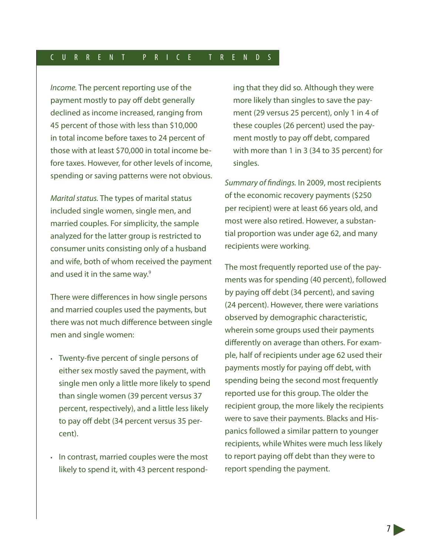*Income.* The percent reporting use of the payment mostly to pay off debt generally declined as income increased, ranging from 45 percent of those with less than \$10,000 in total income before taxes to 24 percent of those with at least \$70,000 in total income before taxes. However, for other levels of income, spending or saving patterns were not obvious.

*Marital status.* The types of marital status included single women, single men, and married couples. For simplicity, the sample analyzed for the latter group is restricted to consumer units consisting only of a husband and wife, both of whom received the payment and used it in the same way.<sup>9</sup>

There were differences in how single persons and married couples used the payments, but there was not much difference between single men and single women:

- • Twenty-five percent of single persons of either sex mostly saved the payment, with single men only a little more likely to spend than single women (39 percent versus 37 percent, respectively), and a little less likely to pay off debt (34 percent versus 35 percent).
- In contrast, married couples were the most likely to spend it, with 43 percent respond-

ing that they did so. Although they were more likely than singles to save the payment (29 versus 25 percent), only 1 in 4 of these couples (26 percent) used the payment mostly to pay off debt, compared with more than 1 in 3 (34 to 35 percent) for singles.

*Summary of findings.* In 2009, most recipients of the economic recovery payments (\$250 per recipient) were at least 66 years old, and most were also retired. However, a substantial proportion was under age 62, and many recipients were working.

The most frequently reported use of the payments was for spending (40 percent), followed by paying off debt (34 percent), and saving (24 percent). However, there were variations observed by demographic characteristic, wherein some groups used their payments differently on average than others. For example, half of recipients under age 62 used their payments mostly for paying off debt, with spending being the second most frequently reported use for this group. The older the recipient group, the more likely the recipients were to save their payments. Blacks and Hispanics followed a similar pattern to younger recipients, while Whites were much less likely to report paying off debt than they were to report spending the payment.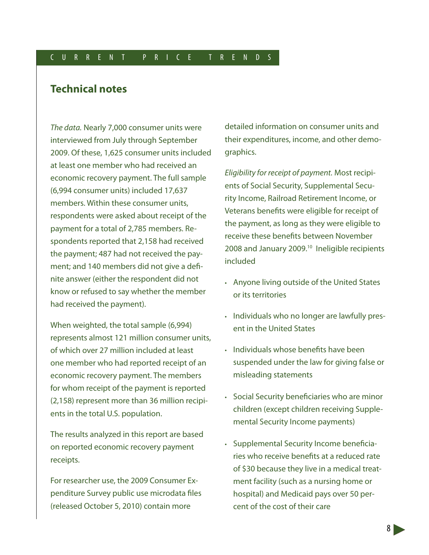## **Technical notes**

*The data.* Nearly 7,000 consumer units were interviewed from July through September 2009. Of these, 1,625 consumer units included at least one member who had received an economic recovery payment. The full sample (6,994 consumer units) included 17,637 members. Within these consumer units, respondents were asked about receipt of the payment for a total of 2,785 members. Respondents reported that 2,158 had received the payment; 487 had not received the payment; and 140 members did not give a definite answer (either the respondent did not know or refused to say whether the member had received the payment).

When weighted, the total sample (6,994) represents almost 121 million consumer units, of which over 27 million included at least one member who had reported receipt of an economic recovery payment. The members for whom receipt of the payment is reported (2,158) represent more than 36 million recipients in the total U.S. population.

The results analyzed in this report are based on reported economic recovery payment receipts.

For researcher use, the 2009 Consumer Expenditure Survey public use microdata files (released October 5, 2010) contain more

detailed information on consumer units and their expenditures, income, and other demographics.

*Eligibility for receipt of payment.* Most recipients of Social Security, Supplemental Security Income, Railroad Retirement Income, or Veterans benefits were eligible for receipt of the payment, as long as they were eligible to receive these benefits between November 2008 and January 2009.<sup>10</sup> Ineligible recipients included

- • Anyone living outside of the United States or its territories
- • Individuals who no longer are lawfully present in the United States
- Individuals whose benefits have been suspended under the law for giving false or misleading statements
- Social Security beneficiaries who are minor children (except children receiving Supplemental Security Income payments)
- Supplemental Security Income beneficiaries who receive benefits at a reduced rate of \$30 because they live in a medical treatment facility (such as a nursing home or hospital) and Medicaid pays over 50 percent of the cost of their care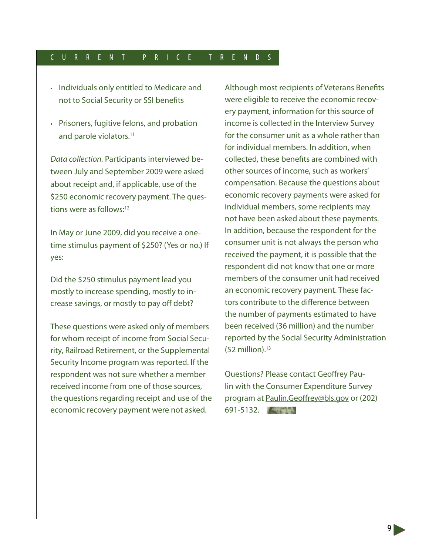- • Individuals only entitled to Medicare and not to Social Security or SSI benefits
- • Prisoners, fugitive felons, and probation and parole violators.<sup>11</sup>

*Data collection.* Participants interviewed between July and September 2009 were asked about receipt and, if applicable, use of the \$250 economic recovery payment. The questions were as follows:12

In May or June 2009, did you receive a onetime stimulus payment of \$250? (Yes or no.) If yes:

Did the \$250 stimulus payment lead you mostly to increase spending, mostly to increase savings, or mostly to pay off debt?

These questions were asked only of members for whom receipt of income from Social Security, Railroad Retirement, or the Supplemental Security Income program was reported. If the respondent was not sure whether a member received income from one of those sources, the questions regarding receipt and use of the economic recovery payment were not asked.

Although most recipients of Veterans Benefits were eligible to receive the economic recovery payment, information for this source of income is collected in the Interview Survey for the consumer unit as a whole rather than for individual members. In addition, when collected, these benefits are combined with other sources of income, such as workers' compensation. Because the questions about economic recovery payments were asked for individual members, some recipients may not have been asked about these payments. In addition, because the respondent for the consumer unit is not always the person who received the payment, it is possible that the respondent did not know that one or more members of the consumer unit had received an economic recovery payment. These factors contribute to the difference between the number of payments estimated to have been received (36 million) and the number reported by the Social Security Administration  $(52$  million).<sup>13</sup>

Questions? Please contact Geoffrey Paulin with the Consumer Expenditure Survey program at Paulin.Geoffrey@bls.gov or (202) 691-5132.